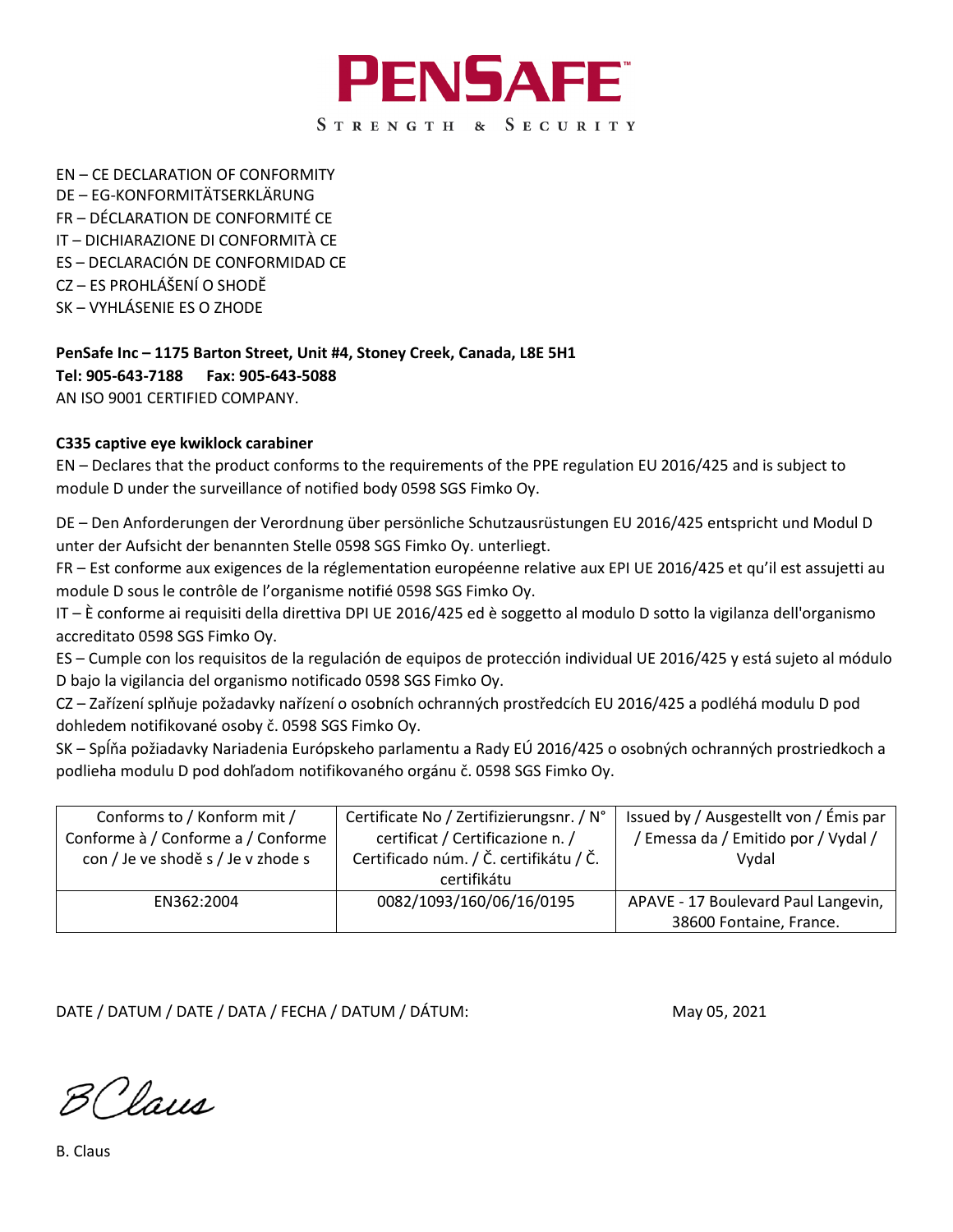

EN – CE DECLARATION OF CONFORMITY DE – EG-KONFORMITÄTSERKLÄRUNG FR – DÉCLARATION DE CONFORMITÉ CE IT – DICHIARAZIONE DI CONFORMITÀ CE ES – DECLARACIÓN DE CONFORMIDAD CE CZ – ES PROHLÁŠENÍ O SHODĚ SK – VYHLÁSENIE ES O ZHODE

**PenSafe Inc – 1175 Barton Street, Unit #4, Stoney Creek, Canada, L8E 5H1 Tel: 905-643-7188 Fax: 905-643-5088** AN ISO 9001 CERTIFIED COMPANY.

## **C335 captive eye kwiklock carabiner**

EN – Declares that the product conforms to the requirements of the PPE regulation EU 2016/425 and is subject to module D under the surveillance of notified body 0598 SGS Fimko Oy.

DE – Den Anforderungen der Verordnung über persönliche Schutzausrüstungen EU 2016/425 entspricht und Modul D unter der Aufsicht der benannten Stelle 0598 SGS Fimko Oy. unterliegt.

FR – Est conforme aux exigences de la réglementation européenne relative aux EPI UE 2016/425 et qu'il est assujetti au module D sous le contrôle de l'organisme notifié 0598 SGS Fimko Oy.

IT – È conforme ai requisiti della direttiva DPI UE 2016/425 ed è soggetto al modulo D sotto la vigilanza dell'organismo accreditato 0598 SGS Fimko Oy.

ES – Cumple con los requisitos de la regulación de equipos de protección individual UE 2016/425 y está sujeto al módulo D bajo la vigilancia del organismo notificado 0598 SGS Fimko Oy.

CZ – Zařízení splňuje požadavky nařízení o osobních ochranných prostředcích EU 2016/425 a podléhá modulu D pod dohledem notifikované osoby č. 0598 SGS Fimko Oy.

SK – Spĺňa požiadavky Nariadenia Európskeho parlamentu a Rady EÚ 2016/425 o osobných ochranných prostriedkoch a podlieha modulu D pod dohľadom notifikovaného orgánu č. 0598 SGS Fimko Oy.

| Conforms to / Konform mit /        | Certificate No / Zertifizierungsnr. / N° | Issued by / Ausgestellt von / Émis par |
|------------------------------------|------------------------------------------|----------------------------------------|
| Conforme à / Conforme a / Conforme | certificat / Certificazione n. /         | / Emessa da / Emitido por / Vydal /    |
| con / Je ve shodě s / Je v zhode s | Certificado núm. / Č. certifikátu / Č.   | Vydal                                  |
|                                    | certifikátu                              |                                        |
| EN362:2004                         | 0082/1093/160/06/16/0195                 | APAVE - 17 Boulevard Paul Langevin,    |
|                                    |                                          | 38600 Fontaine, France.                |

DATE / DATUM / DATE / DATA / FECHA / DATUM / DÁTUM: May 05, 2021

B Claus